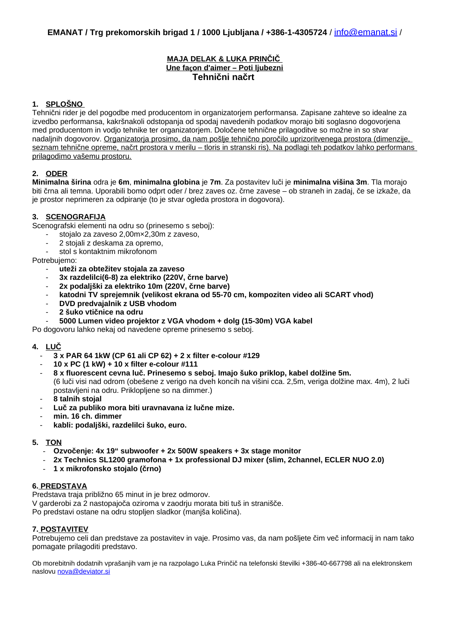# **MAJA DELAK & LUKA PRINČIČ Une fa ç on d'aimer – Poti ljubezni Tehnični načrt**

### **1. SPLOŠNO**

Tehnični rider je del pogodbe med producentom in organizatorjem performansa. Zapisane zahteve so idealne za izvedbo performansa, kakršnakoli odstopanja od spodaj navedenih podatkov morajo biti soglasno dogovorjena med producentom in vodjo tehnike ter organizatorjem. Določene tehnične prilagoditve so možne in so stvar nadaljnih dogovorov. Organizatorja prosimo, da nam pošlje tehnično poročilo uprizoritvenega prostora (dimenzije, seznam tehnične opreme, načrt prostora v merilu – tloris in stranski ris). Na podlagi teh podatkov lahko performans prilagodimo vašemu prostoru.

# **2. ODER**

**Minimalna širina** odra je **6m**, **minimalna globina** je **7m**. Za postavitev luči je **minimalna višina 3m**. Tla morajo biti črna ali temna. Uporabili bomo odprt oder / brez zaves oz. črne zavese – ob straneh in zadaj, če se izkaže, da je prostor neprimeren za odpiranje (to je stvar ogleda prostora in dogovora).

### **3. SCENOGRAFIJA**

Scenografski elementi na odru so (prinesemo s seboj):

- stojalo za zaveso 2,00m×2,30m z zaveso,
- 2 stojali z deskama za opremo,
- stol s kontaktnim mikrofonom

Potrebujemo:

- **uteži za obtežitev stojala za zaveso**
- **3x razdelilci(6-8) za elektriko (220V, črne barve)**
- **2x podaljški za elektriko 10m (220V, črne barve)**
- **katodni TV sprejemnik (velikost ekrana od 55-70 cm, kompoziten video ali SCART vhod)**
- **DVD predvajalnik z USB vhodom**
- **2 šuko vtičnice na odru**
- **5000 Lumen video projektor z VGA vhodom + dolg (15-30m) VGA kabel**

Po dogovoru lahko nekaj od navedene opreme prinesemo s seboj.

# **4. LUČ**

- **3 x PAR 64 1kW (CP 61 ali CP 62) + 2 x filter e-colour #129**
- **10 x PC (1 kW) + 10 x filter e-colour #111**
- **8 x fluorescent cevna luč. Prinesemo s seboj. Imajo šuko priklop, kabel dolžine 5m.**  (6 luči visi nad odrom (obešene z verigo na dveh koncih na višini cca. 2,5m, veriga dolžine max. 4m), 2 luči postavljeni na odru. Priklopljene so na dimmer.)
- **8 talnih stojal**
- **Luč za publiko mora biti uravnavana iz lučne mize.**
- **min. 16 ch. dimmer**
- **kabli: podaljški, razdelilci šuko, euro.**

### **5. TON**

- **Ozvočenje: 4x 19" subwoofer + 2x 500W speakers + 3x stage monitor**
- **2x Technics SL1200 gramofona + 1x professional DJ mixer (slim, 2channel, ECLER NUO 2.0)**
- **1 x mikrofonsko stojalo (črno)**

### **6. PREDSTAVA**

Predstava traja približno 65 minut in je brez odmorov. V garderobi za 2 nastopajoča oziroma v zaodrju morata biti tuš in stranišče. Po predstavi ostane na odru stopljen sladkor (manjša količina).

### **7. POSTAVITEV**

Potrebujemo celi dan predstave za postavitev in vaje. Prosimo vas, da nam pošljete čim več informacij in nam tako pomagate prilagoditi predstavo.

Ob morebitnih dodatnih vprašanjih vam je na razpolago Luka Prinčič na telefonski številki +386-40-667798 ali na elektronskem naslovu [nova@deviator.si](mailto:nova@viator.si)